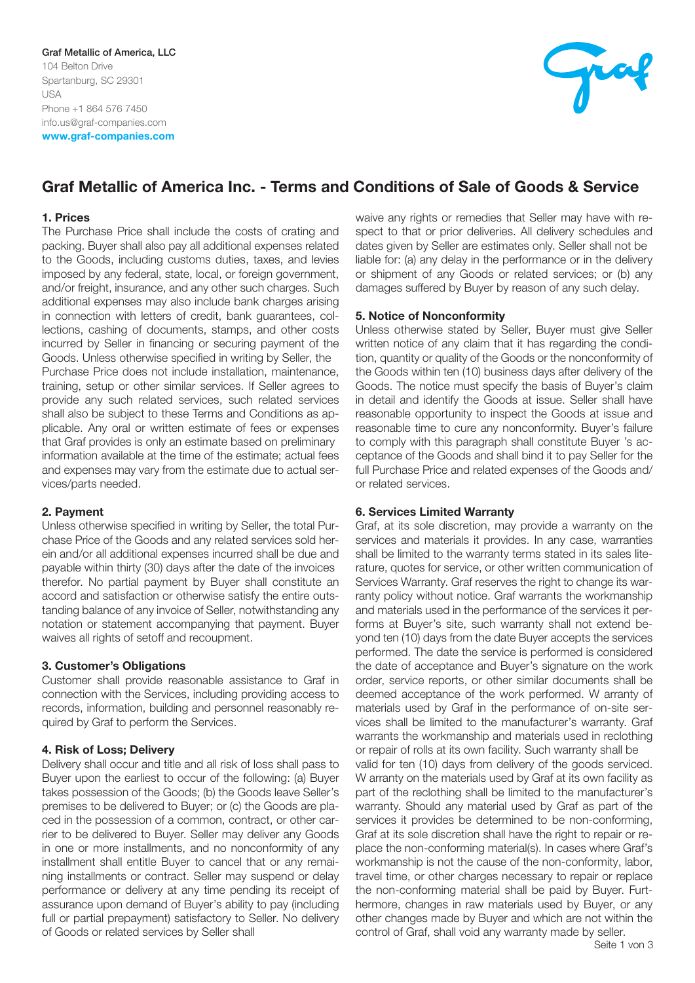

# Graf Metallic of America Inc. - Terms and Conditions of Sale of Goods & Service

## 1. Prices

The Purchase Price shall include the costs of crating and packing. Buyer shall also pay all additional expenses related to the Goods, including customs duties, taxes, and levies imposed by any federal, state, local, or foreign government, and/or freight, insurance, and any other such charges. Such additional expenses may also include bank charges arising in connection with letters of credit, bank guarantees, collections, cashing of documents, stamps, and other costs incurred by Seller in financing or securing payment of the Goods. Unless otherwise specified in writing by Seller, the Purchase Price does not include installation, maintenance, training, setup or other similar services. If Seller agrees to provide any such related services, such related services shall also be subject to these Terms and Conditions as applicable. Any oral or written estimate of fees or expenses that Graf provides is only an estimate based on preliminary information available at the time of the estimate; actual fees and expenses may vary from the estimate due to actual services/parts needed.

# 2. Payment

Unless otherwise specified in writing by Seller, the total Purchase Price of the Goods and any related services sold herein and/or all additional expenses incurred shall be due and payable within thirty (30) days after the date of the invoices therefor. No partial payment by Buyer shall constitute an accord and satisfaction or otherwise satisfy the entire outstanding balance of any invoice of Seller, notwithstanding any notation or statement accompanying that payment. Buyer waives all rights of setoff and recoupment.

# 3. Customer's Obligations

Customer shall provide reasonable assistance to Graf in connection with the Services, including providing access to records, information, building and personnel reasonably required by Graf to perform the Services.

# 4. Risk of Loss; Delivery

Delivery shall occur and title and all risk of loss shall pass to Buyer upon the earliest to occur of the following: (a) Buyer takes possession of the Goods; (b) the Goods leave Seller's premises to be delivered to Buyer; or (c) the Goods are placed in the possession of a common, contract, or other carrier to be delivered to Buyer. Seller may deliver any Goods in one or more installments, and no nonconformity of any installment shall entitle Buyer to cancel that or any remaining installments or contract. Seller may suspend or delay performance or delivery at any time pending its receipt of assurance upon demand of Buyer's ability to pay (including full or partial prepayment) satisfactory to Seller. No delivery of Goods or related services by Seller shall

waive any rights or remedies that Seller may have with respect to that or prior deliveries. All delivery schedules and dates given by Seller are estimates only. Seller shall not be liable for: (a) any delay in the performance or in the delivery or shipment of any Goods or related services; or (b) any damages suffered by Buyer by reason of any such delay.

# 5. Notice of Nonconformity

Unless otherwise stated by Seller, Buyer must give Seller written notice of any claim that it has regarding the condition, quantity or quality of the Goods or the nonconformity of the Goods within ten (10) business days after delivery of the Goods. The notice must specify the basis of Buyer's claim in detail and identify the Goods at issue. Seller shall have reasonable opportunity to inspect the Goods at issue and reasonable time to cure any nonconformity. Buyer's failure to comply with this paragraph shall constitute Buyer 's acceptance of the Goods and shall bind it to pay Seller for the full Purchase Price and related expenses of the Goods and/ or related services.

## 6. Services Limited Warranty

Graf, at its sole discretion, may provide a warranty on the services and materials it provides. In any case, warranties shall be limited to the warranty terms stated in its sales literature, quotes for service, or other written communication of Services Warranty. Graf reserves the right to change its warranty policy without notice. Graf warrants the workmanship and materials used in the performance of the services it performs at Buyer's site, such warranty shall not extend beyond ten (10) days from the date Buyer accepts the services performed. The date the service is performed is considered the date of acceptance and Buyer's signature on the work order, service reports, or other similar documents shall be deemed acceptance of the work performed. W arranty of materials used by Graf in the performance of on-site services shall be limited to the manufacturer's warranty. Graf warrants the workmanship and materials used in reclothing or repair of rolls at its own facility. Such warranty shall be valid for ten (10) days from delivery of the goods serviced. W arranty on the materials used by Graf at its own facility as part of the reclothing shall be limited to the manufacturer's warranty. Should any material used by Graf as part of the services it provides be determined to be non-conforming, Graf at its sole discretion shall have the right to repair or replace the non-conforming material(s). In cases where Graf's workmanship is not the cause of the non-conformity, labor, travel time, or other charges necessary to repair or replace the non-conforming material shall be paid by Buyer. Furthermore, changes in raw materials used by Buyer, or any other changes made by Buyer and which are not within the control of Graf, shall void any warranty made by seller.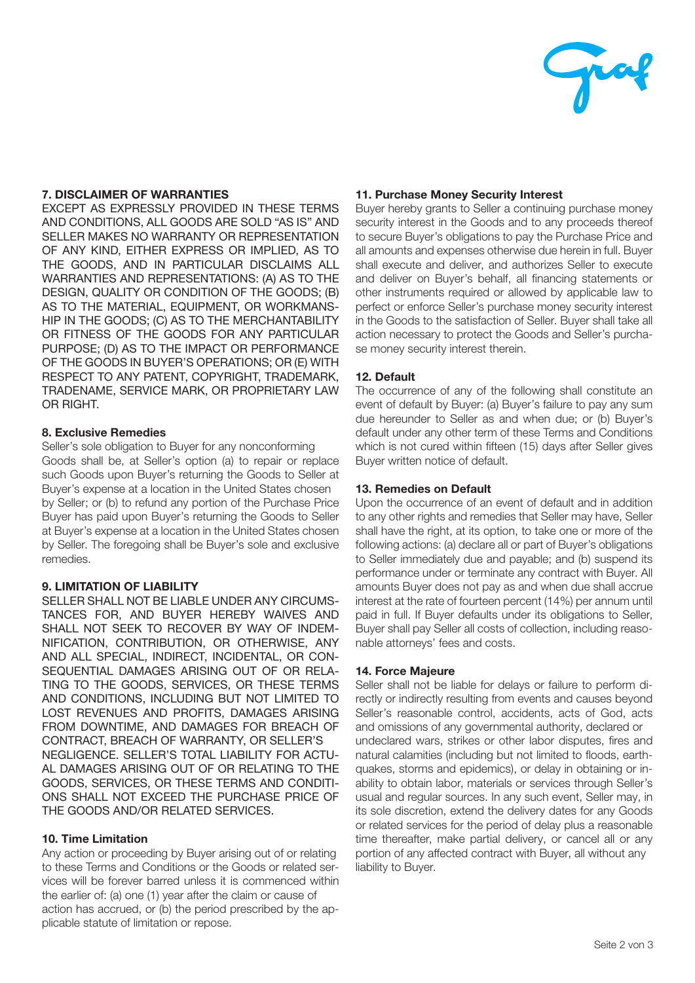

# 7. DISCLAIMER OF WARRANTIES

EXCEPT AS EXPRESSLY PROVIDED IN THESE TERMS AND CONDITIONS, ALL GOODS ARE SOLD "AS IS" AND SELLER MAKES NO WARRANTY OR REPRESENTATION OF ANY KIND, EITHER EXPRESS OR IMPLIED, AS TO THE GOODS, AND IN PARTICULAR DISCLAIMS ALL WARRANTIES AND REPRESENTATIONS: (A) AS TO THE DESIGN, QUALITY OR CONDITION OF THE GOODS; (B) AS TO THE MATERIAL, EQUIPMENT, OR WORKMANS-HIP IN THE GOODS; (C) AS TO THE MERCHANTABILITY OR FITNESS OF THE GOODS FOR ANY PARTICULAR PURPOSE; (D) AS TO THE IMPACT OR PERFORMANCE OF THE GOODS IN BUYER'S OPERATIONS; OR (E) WITH RESPECT TO ANY PATENT, COPYRIGHT, TRADEMARK, TRADENAME, SERVICE MARK, OR PROPRIETARY LAW OR RIGHT.

## 8. Exclusive Remedies

Seller's sole obligation to Buyer for any nonconforming Goods shall be, at Seller's option (a) to repair or replace such Goods upon Buyer's returning the Goods to Seller at Buyer's expense at a location in the United States chosen by Seller; or (b) to refund any portion of the Purchase Price Buyer has paid upon Buyer's returning the Goods to Seller at Buyer's expense at a location in the United States chosen by Seller. The foregoing shall be Buyer's sole and exclusive remedies.

# 9. LIMITATION OF LIABILITY

SELLER SHALL NOT BE LIABLE UNDER ANY CIRCUMS-TANCES FOR, AND BUYER HEREBY WAIVES AND SHALL NOT SEEK TO RECOVER BY WAY OF INDEM-NIFICATION, CONTRIBUTION, OR OTHERWISE, ANY AND ALL SPECIAL, INDIRECT, INCIDENTAL, OR CON-SEQUENTIAL DAMAGES ARISING OUT OF OR RELA-TING TO THE GOODS, SERVICES, OR THESE TERMS AND CONDITIONS, INCLUDING BUT NOT LIMITED TO LOST REVENUES AND PROFITS, DAMAGES ARISING FROM DOWNTIME, AND DAMAGES FOR BREACH OF CONTRACT, BREACH OF WARRANTY, OR SELLER'S NEGLIGENCE. SELLER'S TOTAL LIABILITY FOR ACTU-AL DAMAGES ARISING OUT OF OR RELATING TO THE GOODS, SERVICES, OR THESE TERMS AND CONDITI-ONS SHALL NOT EXCEED THE PURCHASE PRICE OF THE GOODS AND/OR RELATED SERVICES.

# 10. Time Limitation

Any action or proceeding by Buyer arising out of or relating to these Terms and Conditions or the Goods or related services will be forever barred unless it is commenced within the earlier of: (a) one (1) year after the claim or cause of action has accrued, or (b) the period prescribed by the applicable statute of limitation or repose.

# 11. Purchase Money Security Interest

Buyer hereby grants to Seller a continuing purchase money security interest in the Goods and to any proceeds thereof to secure Buyer's obligations to pay the Purchase Price and all amounts and expenses otherwise due herein in full. Buyer shall execute and deliver, and authorizes Seller to execute and deliver on Buver's behalf, all financing statements or other instruments required or allowed by applicable law to perfect or enforce Seller's purchase money security interest in the Goods to the satisfaction of Seller. Buyer shall take all action necessary to protect the Goods and Seller's purchase money security interest therein.

# 12. Default

The occurrence of any of the following shall constitute an event of default by Buyer: (a) Buyer's failure to pay any sum due hereunder to Seller as and when due; or (b) Buyer's default under any other term of these Terms and Conditions which is not cured within fifteen (15) days after Seller gives Buyer written notice of default.

## 13. Remedies on Default

Upon the occurrence of an event of default and in addition to any other rights and remedies that Seller may have, Seller shall have the right, at its option, to take one or more of the following actions: (a) declare all or part of Buyer's obligations to Seller immediately due and payable; and (b) suspend its performance under or terminate any contract with Buyer. All amounts Buyer does not pay as and when due shall accrue interest at the rate of fourteen percent (14%) per annum until paid in full. If Buyer defaults under its obligations to Seller, Buyer shall pay Seller all costs of collection, including reasonable attorneys' fees and costs.

## 14. Force Majeure

Seller shall not be liable for delays or failure to perform directly or indirectly resulting from events and causes beyond Seller's reasonable control, accidents, acts of God, acts and omissions of any governmental authority, declared or undeclared wars, strikes or other labor disputes, fires and natural calamities (including but not limited to floods, earthquakes, storms and epidemics), or delay in obtaining or inability to obtain labor, materials or services through Seller's usual and regular sources. In any such event, Seller may, in its sole discretion, extend the delivery dates for any Goods or related services for the period of delay plus a reasonable time thereafter, make partial delivery, or cancel all or any portion of any affected contract with Buyer, all without any liability to Buyer.